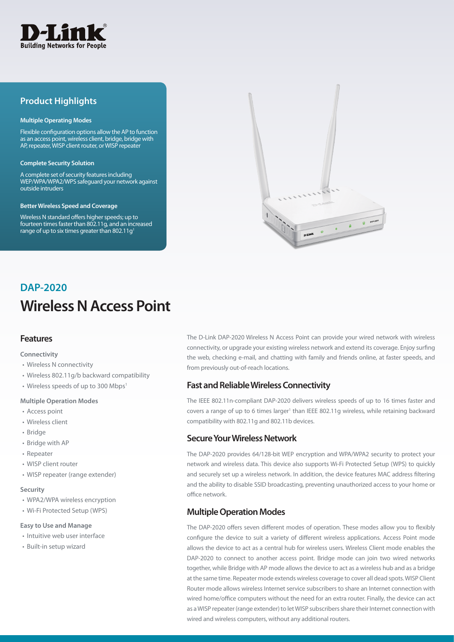

# **Product Highlights**

#### **Multiple Operating Modes**

Flexible configuration options allow the AP to function as an access point, wireless client, bridge, bridge with AP, repeater, WISP client router, or WISP repeater

#### **Complete Security Solution**

A complete set of security features including WEP/WPA/WPA2/WPS safeguard your network against outside intruders

#### **Better Wireless Speed and Coverage**

Wireless N standard offers higher speeds; up to fourteen times faster than 802.11g, and an increased range of up to six times greater than 802.11g<sup>1</sup>



# **Wireless N Access Point DAP-2020**

### **Features**

#### **Connectivity**

- • Wireless N connectivity
- Wireless 802.11g/b backward compatibility
- Wireless speeds of up to 300 Mbps<sup>1</sup>

#### **Multiple Operation Modes**

- Access point
- Wireless client
- Bridge
- Bridge with AP
- • Repeater
- WISP client router
- WISP repeater (range extender)

#### **Security**

- WPA2/WPA wireless encryption
- • Wi-Fi Protected Setup (WPS)

#### **Easy to Use and Manage**

- Intuitive web user interface
- • Built-in setup wizard

The D-Link DAP-2020 Wireless N Access Point can provide your wired network with wireless connectivity, or upgrade your existing wireless network and extend its coverage. Enjoy surfing the web, checking e-mail, and chatting with family and friends online, at faster speeds, and from previously out-of-reach locations.

### **Fast and Reliable Wireless Connectivity**

The IEEE 802.11n-compliant DAP-2020 delivers wireless speeds of up to 16 times faster and covers a range of up to 6 times larger<sup>1</sup> than IEEE 802.11g wireless, while retaining backward compatibility with 802.11g and 802.11b devices.

### **Secure Your Wireless Network**

The DAP-2020 provides 64/128-bit WEP encryption and WPA/WPA2 security to protect your network and wireless data. This device also supports Wi-Fi Protected Setup (WPS) to quickly and securely set up a wireless network. In addition, the device features MAC address filtering and the ability to disable SSID broadcasting, preventing unauthorized access to your home or office network.

### **Multiple Operation Modes**

The DAP-2020 offers seven different modes of operation. These modes allow you to flexibly configure the device to suit a variety of different wireless applications. Access Point mode allows the device to act as a central hub for wireless users. Wireless Client mode enables the DAP-2020 to connect to another access point. Bridge mode can join two wired networks together, while Bridge with AP mode allows the device to act as a wireless hub and as a bridge at the same time. Repeater mode extends wireless coverage to cover all dead spots. WISP Client Router mode allows wireless Internet service subscribers to share an Internet connection with wired home/office computers without the need for an extra router. Finally, the device can act as a WISP repeater (range extender) to let WISP subscribers share their Internet connection with wired and wireless computers, without any additional routers.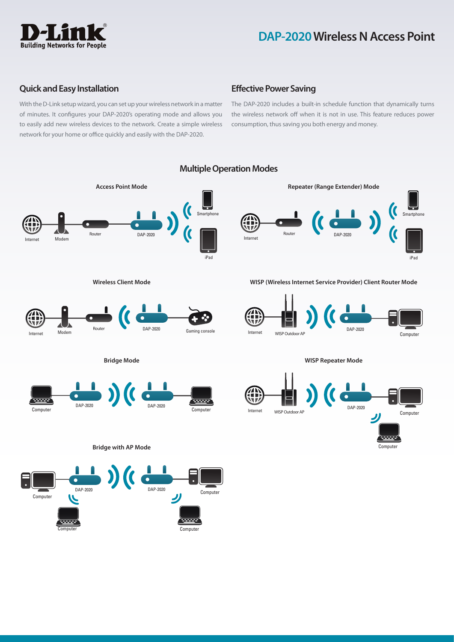

## **Quick and Easy Installation**

With the D-Link setup wizard, you can set up your wireless network in a matter of minutes. It configures your DAP-2020's operating mode and allows you to easily add new wireless devices to the network. Create a simple wireless network for your home or office quickly and easily with the DAP-2020.

# **Effective Power Saving**

The DAP-2020 includes a built-in schedule function that dynamically turns the wireless network off when it is not in use. This feature reduces power consumption, thus saving you both energy and money.

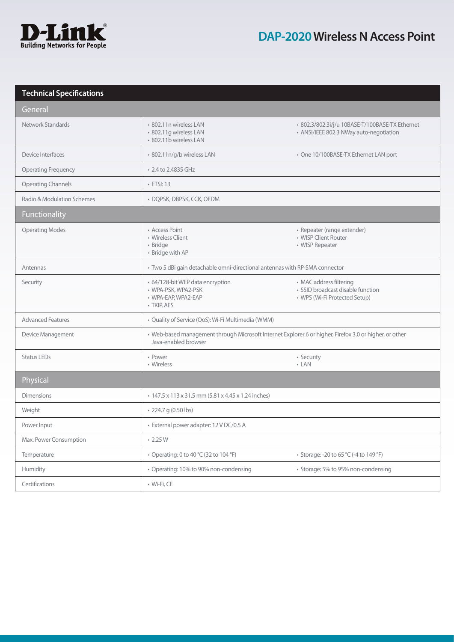

# **Technical Specifications**

| General                    |                                                                                                                                 |                                                                                               |
|----------------------------|---------------------------------------------------------------------------------------------------------------------------------|-----------------------------------------------------------------------------------------------|
| Network Standards          | · 802.11n wireless LAN<br>· 802.11q wireless LAN<br>* 802.11b wireless LAN                                                      | · 802.3/802.3i/j/u 10BASE-T/100BASE-TX Ethernet<br>• ANSI/IEEE 802.3 NWay auto-negotiation    |
| Device Interfaces          | · 802.11n/g/b wireless LAN                                                                                                      | • One 10/100BASE-TX Ethernet LAN port                                                         |
| <b>Operating Frequency</b> | • 2.4 to 2.4835 GHz                                                                                                             |                                                                                               |
| <b>Operating Channels</b>  | $\cdot$ ETSI: 13                                                                                                                |                                                                                               |
| Radio & Modulation Schemes | · DQPSK, DBPSK, CCK, OFDM                                                                                                       |                                                                                               |
| Functionality              |                                                                                                                                 |                                                                                               |
| <b>Operating Modes</b>     | • Access Point<br>• Wireless Client<br>• Bridge<br>• Bridge with AP                                                             | • Repeater (range extender)<br>• WISP Client Router<br>• WISP Repeater                        |
| Antennas                   | • Two 5 dBi gain detachable omni-directional antennas with RP-SMA connector                                                     |                                                                                               |
| Security                   | • 64/128-bit WEP data encryption<br>· WPA-PSK, WPA2-PSK<br>· WPA-EAP, WPA2-EAP<br>· TKIP, AES                                   | • MAC address filtering<br>· SSID broadcast disable function<br>• WPS (Wi-Fi Protected Setup) |
| <b>Advanced Features</b>   | · Quality of Service (QoS): Wi-Fi Multimedia (WMM)                                                                              |                                                                                               |
| Device Management          | · Web-based management through Microsoft Internet Explorer 6 or higher, Firefox 3.0 or higher, or other<br>Java-enabled browser |                                                                                               |
| <b>Status LEDs</b>         | • Power<br>• Wireless                                                                                                           | • Security<br>$\cdot$ LAN                                                                     |
| Physical                   |                                                                                                                                 |                                                                                               |
| <b>Dimensions</b>          | • 147.5 x 113 x 31.5 mm (5.81 x 4.45 x 1.24 inches)                                                                             |                                                                                               |
| Weight                     | • 224.7 g (0.50 lbs)                                                                                                            |                                                                                               |
| Power Input                | · External power adapter: 12 V DC/0.5 A                                                                                         |                                                                                               |
| Max. Power Consumption     | $\cdot$ 2.25 W                                                                                                                  |                                                                                               |
| Temperature                | • Operating: 0 to 40 °C (32 to 104 °F)                                                                                          | • Storage: -20 to 65 °C (-4 to 149 °F)                                                        |
| Humidity                   | • Operating: 10% to 90% non-condensing                                                                                          | • Storage: 5% to 95% non-condensing                                                           |
| Certifications             | · Wi-Fi, CE                                                                                                                     |                                                                                               |